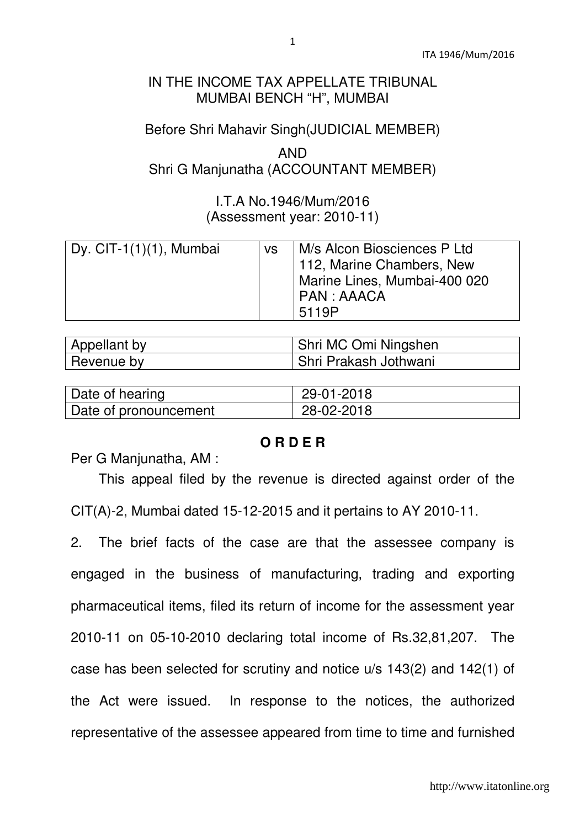## IN THE INCOME TAX APPELLATE TRIBUNAL MUMBAI BENCH "H", MUMBAI

## Before Shri Mahavir Singh(JUDICIAL MEMBER)

# AND Shri G Manjunatha (ACCOUNTANT MEMBER)

## I.T.A No.1946/Mum/2016 (Assessment year: 2010-11)

| Dy. CIT-1 $(1)(1)$ , Mumbai | <b>VS</b> | M/s Alcon Biosciences P Ltd<br>112, Marine Chambers, New<br>Marine Lines, Mumbai-400 020<br>  PAN : AAACA |
|-----------------------------|-----------|-----------------------------------------------------------------------------------------------------------|
|                             |           | 5119P                                                                                                     |

| Appellant by | Shri MC Omi Ningshen  |
|--------------|-----------------------|
| Revenue by   | Shri Prakash Jothwani |

| Date of hearing       | 29-01-2018 |
|-----------------------|------------|
| Date of pronouncement | 28-02-2018 |

#### **O R D E R**

Per G Manjunatha, AM :

 This appeal filed by the revenue is directed against order of the CIT(A)-2, Mumbai dated 15-12-2015 and it pertains to AY 2010-11.

2. The brief facts of the case are that the assessee company is engaged in the business of manufacturing, trading and exporting pharmaceutical items, filed its return of income for the assessment year 2010-11 on 05-10-2010 declaring total income of Rs.32,81,207. The case has been selected for scrutiny and notice u/s 143(2) and 142(1) of the Act were issued. In response to the notices, the authorized representative of the assessee appeared from time to time and furnished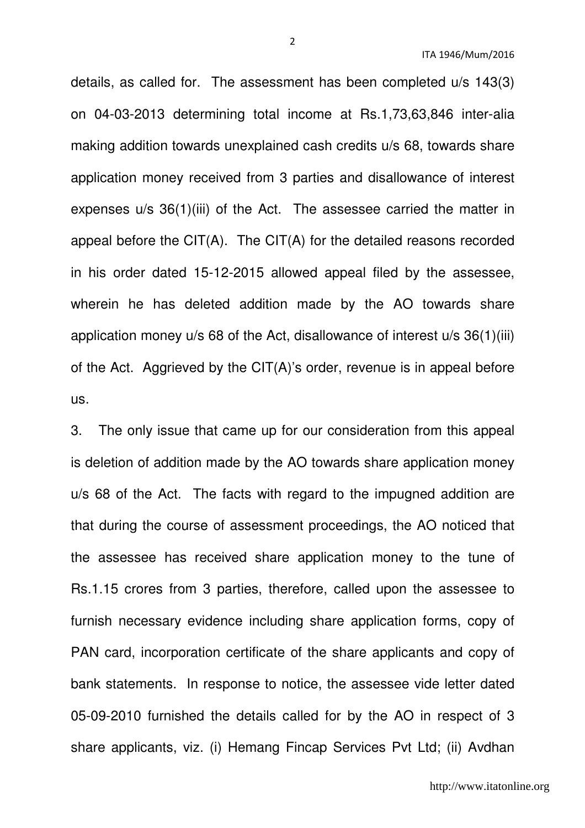details, as called for. The assessment has been completed u/s 143(3) on 04-03-2013 determining total income at Rs.1,73,63,846 inter-alia making addition towards unexplained cash credits u/s 68, towards share application money received from 3 parties and disallowance of interest expenses u/s 36(1)(iii) of the Act. The assessee carried the matter in appeal before the CIT(A). The CIT(A) for the detailed reasons recorded in his order dated 15-12-2015 allowed appeal filed by the assessee, wherein he has deleted addition made by the AO towards share application money u/s 68 of the Act, disallowance of interest u/s 36(1)(iii) of the Act. Aggrieved by the CIT(A)'s order, revenue is in appeal before us.

3. The only issue that came up for our consideration from this appeal is deletion of addition made by the AO towards share application money u/s 68 of the Act. The facts with regard to the impugned addition are that during the course of assessment proceedings, the AO noticed that the assessee has received share application money to the tune of Rs.1.15 crores from 3 parties, therefore, called upon the assessee to furnish necessary evidence including share application forms, copy of PAN card, incorporation certificate of the share applicants and copy of bank statements. In response to notice, the assessee vide letter dated 05-09-2010 furnished the details called for by the AO in respect of 3 share applicants, viz. (i) Hemang Fincap Services Pvt Ltd; (ii) Avdhan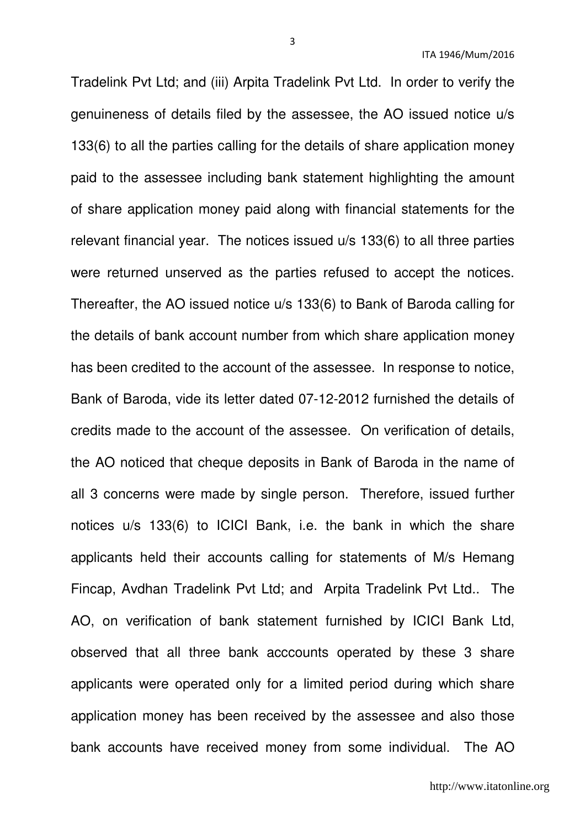Tradelink Pvt Ltd; and (iii) Arpita Tradelink Pvt Ltd. In order to verify the genuineness of details filed by the assessee, the AO issued notice u/s 133(6) to all the parties calling for the details of share application money paid to the assessee including bank statement highlighting the amount of share application money paid along with financial statements for the relevant financial year. The notices issued u/s 133(6) to all three parties were returned unserved as the parties refused to accept the notices. Thereafter, the AO issued notice u/s 133(6) to Bank of Baroda calling for the details of bank account number from which share application money has been credited to the account of the assessee. In response to notice, Bank of Baroda, vide its letter dated 07-12-2012 furnished the details of credits made to the account of the assessee. On verification of details, the AO noticed that cheque deposits in Bank of Baroda in the name of all 3 concerns were made by single person. Therefore, issued further notices u/s 133(6) to ICICI Bank, i.e. the bank in which the share applicants held their accounts calling for statements of M/s Hemang Fincap, Avdhan Tradelink Pvt Ltd; and Arpita Tradelink Pvt Ltd.. The AO, on verification of bank statement furnished by ICICI Bank Ltd, observed that all three bank acccounts operated by these 3 share applicants were operated only for a limited period during which share application money has been received by the assessee and also those bank accounts have received money from some individual. The AO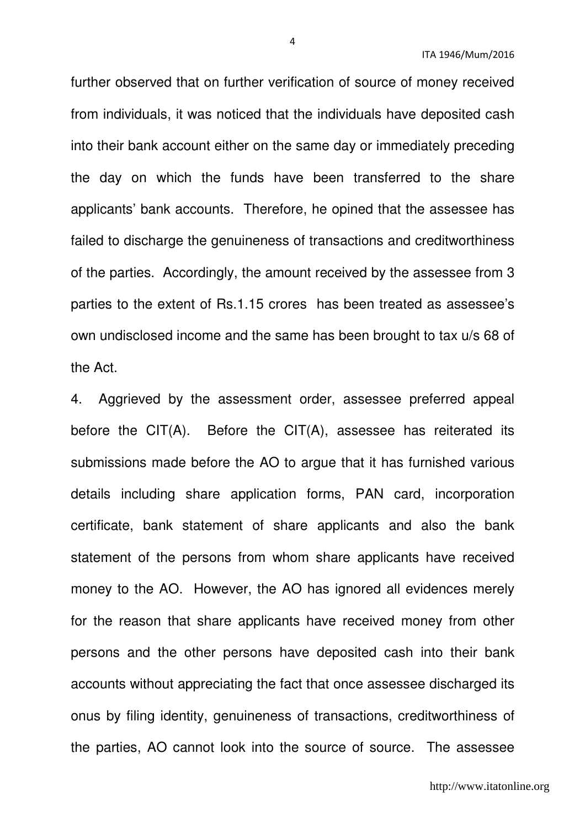further observed that on further verification of source of money received from individuals, it was noticed that the individuals have deposited cash into their bank account either on the same day or immediately preceding the day on which the funds have been transferred to the share applicants' bank accounts. Therefore, he opined that the assessee has failed to discharge the genuineness of transactions and creditworthiness of the parties. Accordingly, the amount received by the assessee from 3 parties to the extent of Rs.1.15 crores has been treated as assessee's own undisclosed income and the same has been brought to tax u/s 68 of the Act.

4. Aggrieved by the assessment order, assessee preferred appeal before the  $CIT(A)$ . Before the  $CIT(A)$ , assessee has reiterated its submissions made before the AO to argue that it has furnished various details including share application forms, PAN card, incorporation certificate, bank statement of share applicants and also the bank statement of the persons from whom share applicants have received money to the AO. However, the AO has ignored all evidences merely for the reason that share applicants have received money from other persons and the other persons have deposited cash into their bank accounts without appreciating the fact that once assessee discharged its onus by filing identity, genuineness of transactions, creditworthiness of the parties, AO cannot look into the source of source. The assessee

http://www.itatonline.org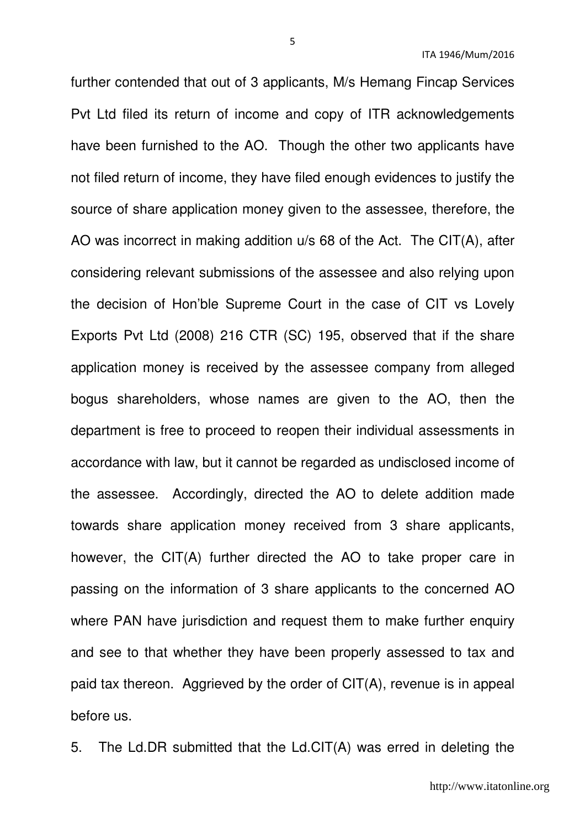further contended that out of 3 applicants, M/s Hemang Fincap Services Pvt Ltd filed its return of income and copy of ITR acknowledgements have been furnished to the AO. Though the other two applicants have not filed return of income, they have filed enough evidences to justify the source of share application money given to the assessee, therefore, the AO was incorrect in making addition u/s 68 of the Act. The CIT(A), after considering relevant submissions of the assessee and also relying upon the decision of Hon'ble Supreme Court in the case of CIT vs Lovely Exports Pvt Ltd (2008) 216 CTR (SC) 195, observed that if the share application money is received by the assessee company from alleged bogus shareholders, whose names are given to the AO, then the department is free to proceed to reopen their individual assessments in accordance with law, but it cannot be regarded as undisclosed income of the assessee. Accordingly, directed the AO to delete addition made towards share application money received from 3 share applicants, however, the CIT(A) further directed the AO to take proper care in passing on the information of 3 share applicants to the concerned AO where PAN have jurisdiction and request them to make further enquiry and see to that whether they have been properly assessed to tax and paid tax thereon. Aggrieved by the order of CIT(A), revenue is in appeal before us.

5. The Ld.DR submitted that the Ld.CIT(A) was erred in deleting the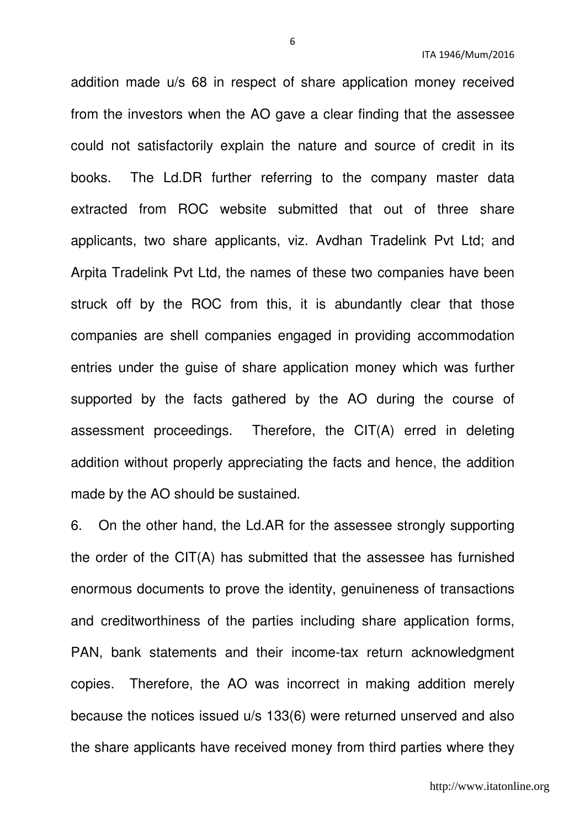addition made u/s 68 in respect of share application money received from the investors when the AO gave a clear finding that the assessee could not satisfactorily explain the nature and source of credit in its books. The Ld.DR further referring to the company master data extracted from ROC website submitted that out of three share applicants, two share applicants, viz. Avdhan Tradelink Pvt Ltd; and Arpita Tradelink Pvt Ltd, the names of these two companies have been struck off by the ROC from this, it is abundantly clear that those companies are shell companies engaged in providing accommodation entries under the guise of share application money which was further supported by the facts gathered by the AO during the course of assessment proceedings. Therefore, the CIT(A) erred in deleting addition without properly appreciating the facts and hence, the addition made by the AO should be sustained.

6. On the other hand, the Ld.AR for the assessee strongly supporting the order of the CIT(A) has submitted that the assessee has furnished enormous documents to prove the identity, genuineness of transactions and creditworthiness of the parties including share application forms, PAN, bank statements and their income-tax return acknowledgment copies. Therefore, the AO was incorrect in making addition merely because the notices issued u/s 133(6) were returned unserved and also the share applicants have received money from third parties where they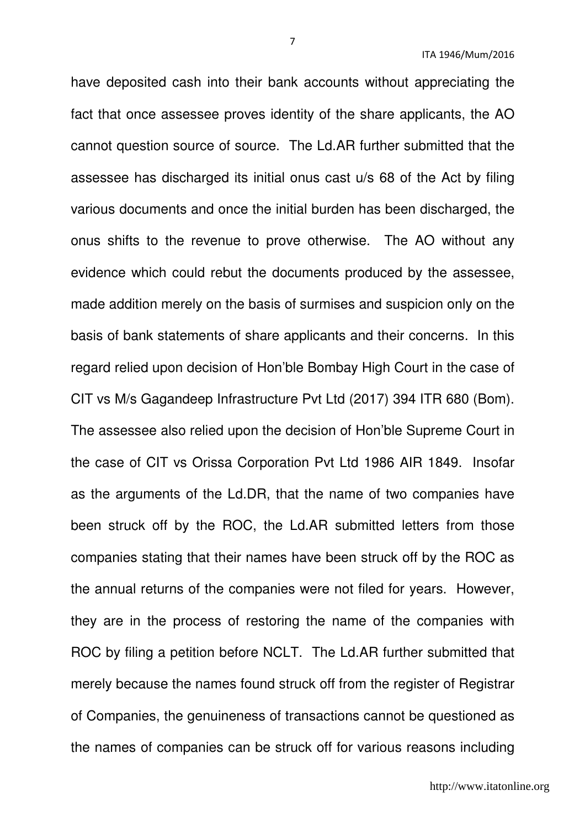have deposited cash into their bank accounts without appreciating the fact that once assessee proves identity of the share applicants, the AO cannot question source of source. The Ld.AR further submitted that the assessee has discharged its initial onus cast u/s 68 of the Act by filing various documents and once the initial burden has been discharged, the onus shifts to the revenue to prove otherwise. The AO without any evidence which could rebut the documents produced by the assessee, made addition merely on the basis of surmises and suspicion only on the basis of bank statements of share applicants and their concerns. In this regard relied upon decision of Hon'ble Bombay High Court in the case of CIT vs M/s Gagandeep Infrastructure Pvt Ltd (2017) 394 ITR 680 (Bom). The assessee also relied upon the decision of Hon'ble Supreme Court in the case of CIT vs Orissa Corporation Pvt Ltd 1986 AIR 1849. Insofar as the arguments of the Ld.DR, that the name of two companies have been struck off by the ROC, the Ld.AR submitted letters from those companies stating that their names have been struck off by the ROC as the annual returns of the companies were not filed for years. However, they are in the process of restoring the name of the companies with ROC by filing a petition before NCLT. The Ld.AR further submitted that merely because the names found struck off from the register of Registrar of Companies, the genuineness of transactions cannot be questioned as the names of companies can be struck off for various reasons including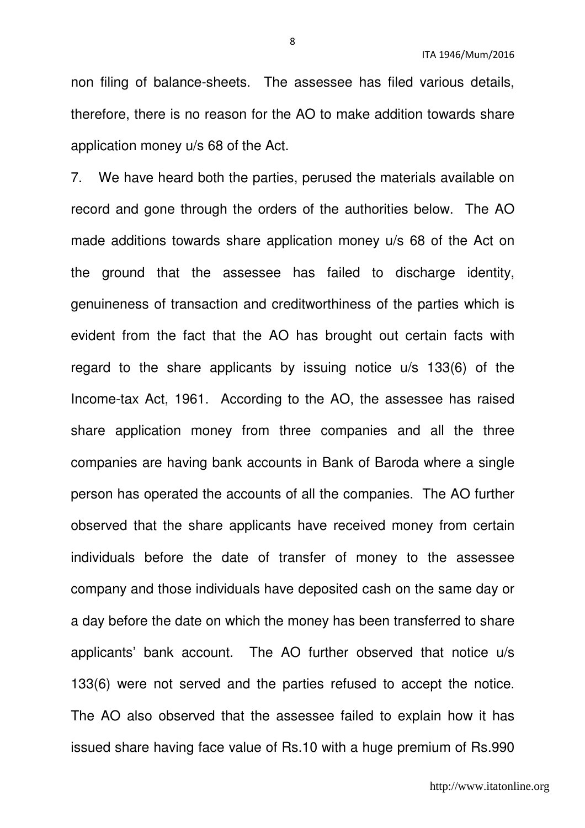non filing of balance-sheets. The assessee has filed various details, therefore, there is no reason for the AO to make addition towards share application money u/s 68 of the Act.

7. We have heard both the parties, perused the materials available on record and gone through the orders of the authorities below. The AO made additions towards share application money u/s 68 of the Act on the ground that the assessee has failed to discharge identity, genuineness of transaction and creditworthiness of the parties which is evident from the fact that the AO has brought out certain facts with regard to the share applicants by issuing notice u/s 133(6) of the Income-tax Act, 1961. According to the AO, the assessee has raised share application money from three companies and all the three companies are having bank accounts in Bank of Baroda where a single person has operated the accounts of all the companies. The AO further observed that the share applicants have received money from certain individuals before the date of transfer of money to the assessee company and those individuals have deposited cash on the same day or a day before the date on which the money has been transferred to share applicants' bank account. The AO further observed that notice u/s 133(6) were not served and the parties refused to accept the notice. The AO also observed that the assessee failed to explain how it has issued share having face value of Rs.10 with a huge premium of Rs.990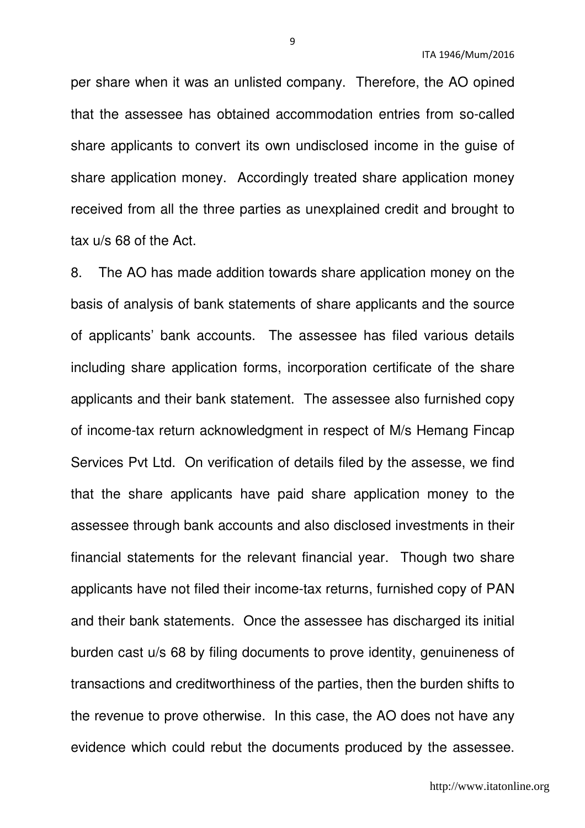per share when it was an unlisted company. Therefore, the AO opined that the assessee has obtained accommodation entries from so-called share applicants to convert its own undisclosed income in the guise of share application money. Accordingly treated share application money received from all the three parties as unexplained credit and brought to tax u/s 68 of the Act.

8. The AO has made addition towards share application money on the basis of analysis of bank statements of share applicants and the source of applicants' bank accounts. The assessee has filed various details including share application forms, incorporation certificate of the share applicants and their bank statement. The assessee also furnished copy of income-tax return acknowledgment in respect of M/s Hemang Fincap Services Pvt Ltd. On verification of details filed by the assesse, we find that the share applicants have paid share application money to the assessee through bank accounts and also disclosed investments in their financial statements for the relevant financial year. Though two share applicants have not filed their income-tax returns, furnished copy of PAN and their bank statements. Once the assessee has discharged its initial burden cast u/s 68 by filing documents to prove identity, genuineness of transactions and creditworthiness of the parties, then the burden shifts to the revenue to prove otherwise. In this case, the AO does not have any evidence which could rebut the documents produced by the assessee.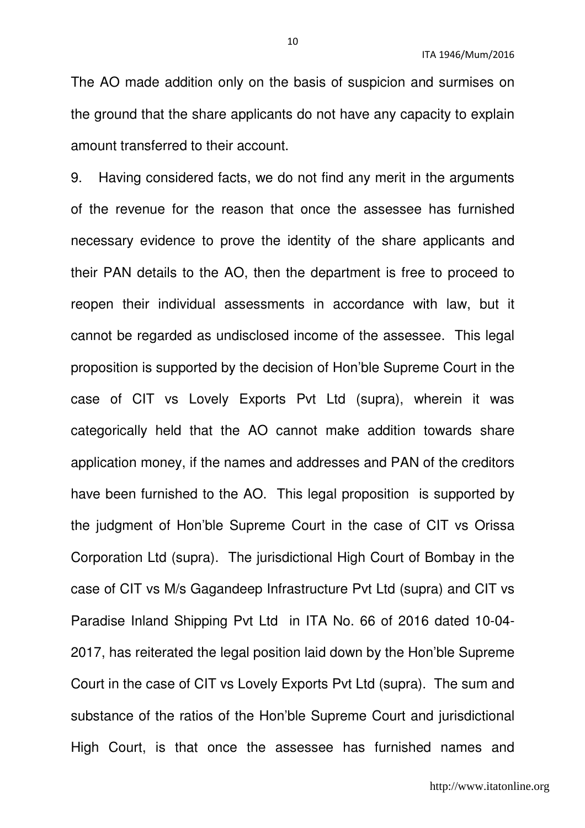The AO made addition only on the basis of suspicion and surmises on the ground that the share applicants do not have any capacity to explain amount transferred to their account.

9. Having considered facts, we do not find any merit in the arguments of the revenue for the reason that once the assessee has furnished necessary evidence to prove the identity of the share applicants and their PAN details to the AO, then the department is free to proceed to reopen their individual assessments in accordance with law, but it cannot be regarded as undisclosed income of the assessee. This legal proposition is supported by the decision of Hon'ble Supreme Court in the case of CIT vs Lovely Exports Pvt Ltd (supra), wherein it was categorically held that the AO cannot make addition towards share application money, if the names and addresses and PAN of the creditors have been furnished to the AO. This legal proposition is supported by the judgment of Hon'ble Supreme Court in the case of CIT vs Orissa Corporation Ltd (supra). The jurisdictional High Court of Bombay in the case of CIT vs M/s Gagandeep Infrastructure Pvt Ltd (supra) and CIT vs Paradise Inland Shipping Pvt Ltd in ITA No. 66 of 2016 dated 10-04- 2017, has reiterated the legal position laid down by the Hon'ble Supreme Court in the case of CIT vs Lovely Exports Pvt Ltd (supra). The sum and substance of the ratios of the Hon'ble Supreme Court and jurisdictional High Court, is that once the assessee has furnished names and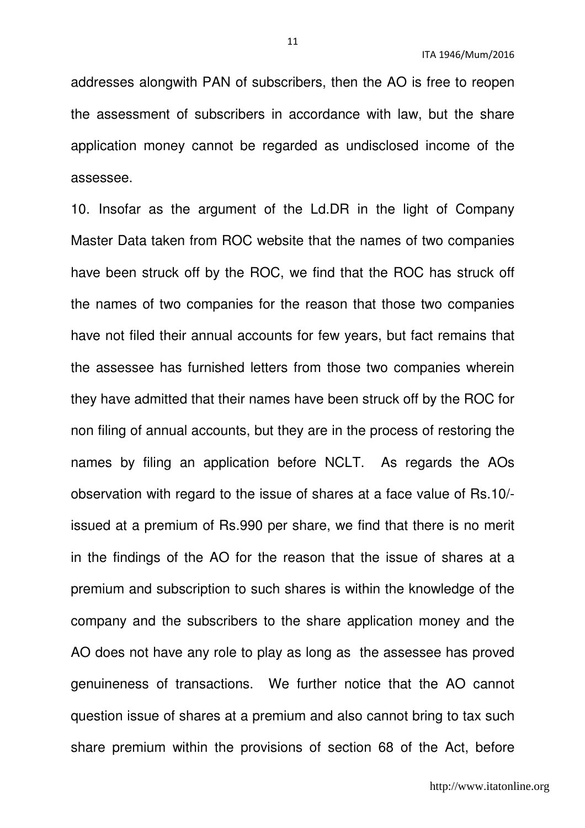addresses alongwith PAN of subscribers, then the AO is free to reopen the assessment of subscribers in accordance with law, but the share application money cannot be regarded as undisclosed income of the assessee.

10. Insofar as the argument of the Ld.DR in the light of Company Master Data taken from ROC website that the names of two companies have been struck off by the ROC, we find that the ROC has struck off the names of two companies for the reason that those two companies have not filed their annual accounts for few years, but fact remains that the assessee has furnished letters from those two companies wherein they have admitted that their names have been struck off by the ROC for non filing of annual accounts, but they are in the process of restoring the names by filing an application before NCLT. As regards the AOs observation with regard to the issue of shares at a face value of Rs.10/ issued at a premium of Rs.990 per share, we find that there is no merit in the findings of the AO for the reason that the issue of shares at a premium and subscription to such shares is within the knowledge of the company and the subscribers to the share application money and the AO does not have any role to play as long as the assessee has proved genuineness of transactions. We further notice that the AO cannot question issue of shares at a premium and also cannot bring to tax such share premium within the provisions of section 68 of the Act, before